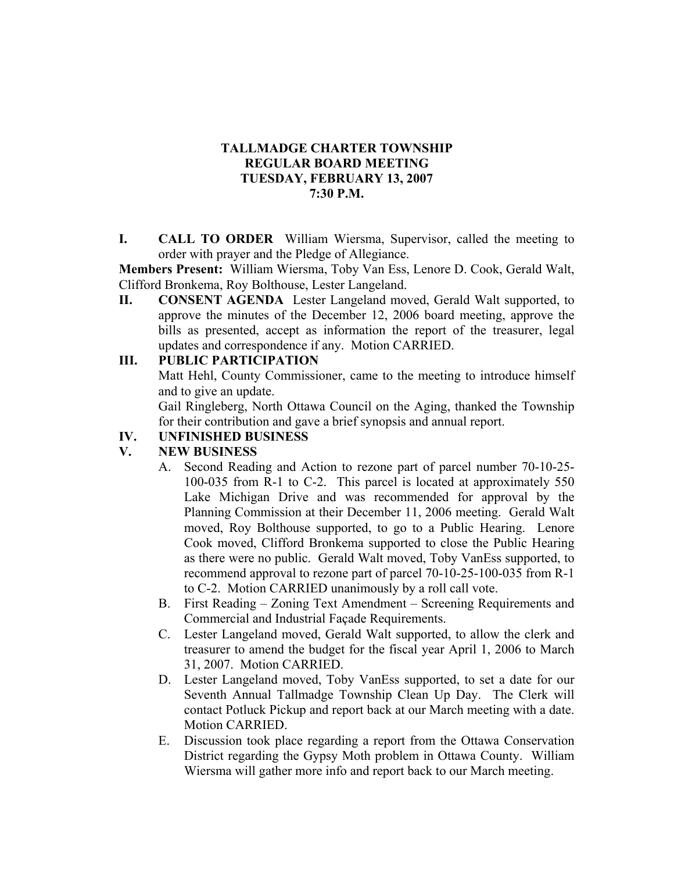## **TALLMADGE CHARTER TOWNSHIP REGULAR BOARD MEETING TUESDAY, FEBRUARY 13, 2007 7:30 P.M.**

**I. CALL TO ORDER** William Wiersma, Supervisor, called the meeting to order with prayer and the Pledge of Allegiance.

**Members Present:** William Wiersma, Toby Van Ess, Lenore D. Cook, Gerald Walt, Clifford Bronkema, Roy Bolthouse, Lester Langeland.

**II. CONSENT AGENDA** Lester Langeland moved, Gerald Walt supported, to approve the minutes of the December 12, 2006 board meeting, approve the bills as presented, accept as information the report of the treasurer, legal updates and correspondence if any. Motion CARRIED.

### **III. PUBLIC PARTICIPATION**

Matt Hehl, County Commissioner, came to the meeting to introduce himself and to give an update.

Gail Ringleberg, North Ottawa Council on the Aging, thanked the Township for their contribution and gave a brief synopsis and annual report.

## **IV. UNFINISHED BUSINESS**

#### **V. NEW BUSINESS**

- A. Second Reading and Action to rezone part of parcel number 70-10-25- 100-035 from R-1 to C-2. This parcel is located at approximately 550 Lake Michigan Drive and was recommended for approval by the Planning Commission at their December 11, 2006 meeting. Gerald Walt moved, Roy Bolthouse supported, to go to a Public Hearing. Lenore Cook moved, Clifford Bronkema supported to close the Public Hearing as there were no public. Gerald Walt moved, Toby VanEss supported, to recommend approval to rezone part of parcel 70-10-25-100-035 from R-1 to C-2. Motion CARRIED unanimously by a roll call vote.
- B. First Reading Zoning Text Amendment Screening Requirements and Commercial and Industrial Façade Requirements.
- C. Lester Langeland moved, Gerald Walt supported, to allow the clerk and treasurer to amend the budget for the fiscal year April 1, 2006 to March 31, 2007. Motion CARRIED.
- D. Lester Langeland moved, Toby VanEss supported, to set a date for our Seventh Annual Tallmadge Township Clean Up Day. The Clerk will contact Potluck Pickup and report back at our March meeting with a date. Motion CARRIED.
- E. Discussion took place regarding a report from the Ottawa Conservation District regarding the Gypsy Moth problem in Ottawa County. William Wiersma will gather more info and report back to our March meeting.